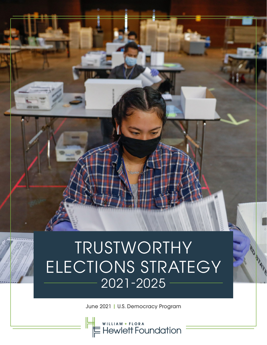# TRUSTWORTHY ELECTIONS STRATEGY 2021-2025

June 2021 | U.S. Democracy Program

WILLIAM + FLORA<br>Hewlett Foundation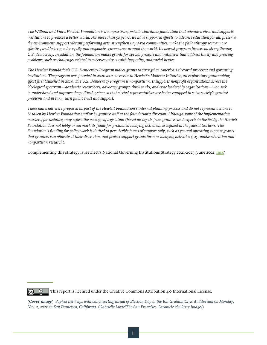*The William and Flora Hewlett Foundation is a nonpartisan, private charitable foundation that advances ideas and supports institutions to promote a better world. For more than 50 years, we have supported efforts to advance education for all, preserve the environment, support vibrant performing arts, strengthen Bay Area communities, make the philanthropy sector more effective, and foster gender equity and responsive governance around the world. Its newest program focuses on strengthening U.S. democracy. In addition, the foundation makes grants for special projects and initiatives that address timely and pressing problems, such as challenges related to cybersecurity, wealth inequality, and racial justice.*

*The Hewlett Foundation's U.S. Democracy Program makes grants to strengthen America's electoral processes and governing institutions. The program was founded in 2020 as a successor to Hewlett's Madison Initiative, an exploratory grantmaking effort first launched in 2014. The U.S. Democracy Program is nonpartisan. It supports nonprofit organizations across the ideological spectrum—academic researchers, advocacy groups, think tanks, and civic leadership organizations—who seek to understand and improve the political system so that elected representatives are better equipped to solve society's greatest problems and in turn, earn public trust and support.*

*These materials were prepared as part of the Hewlett Foundation's internal planning process and do not represent actions to be taken by Hewlett Foundation staff or by grantee staff at the foundation's direction. Although some of the implementation markers, for instance, may reflect the passage of legislation (based on inputs from grantees and experts in the field), the Hewlett Foundation does not lobby or earmark its funds for prohibited lobbying activities, as defined in the federal tax laws. The Foundation's funding for policy work is limited to permissible forms of support only, such as general operating support grants that grantees can allocate at their discretion, and project support grants for non-lobbying activities (e.g., public education and nonpartisan research).* 

Complementing this strategy is Hewlett's National Governing Institutions Strategy 2021-2025 (June 2021, **[link](https://hewlett.org/wp-content/uploads/2021/06/Hewlett-Foundation-National-Governing-Institutions-Strategy.pdf)**)

 $\odot$ 

This report is licensed under the Creative Commons Attribution 4.0 International License.

*(Cover image) Sophia Lee helps with ballot sorting ahead of Election Day at the Bill Graham Civic Auditorium on Monday, Nov. 2, 2020 in San Francisco, California. (Gabrielle Lurie/The San Francisco Chronicle via Getty Images)*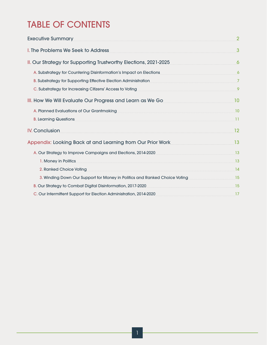# TABLE OF CONTENTS

| Executive Summary                                                                                                                                                                                                             | $\overline{2}$      |
|-------------------------------------------------------------------------------------------------------------------------------------------------------------------------------------------------------------------------------|---------------------|
| I. The Problems We Seek to Address                                                                                                                                                                                            | $\mathbf{3}$        |
| II. Our Strategy for Supporting Trustworthy Elections, 2021-2025                                                                                                                                                              | $\ddot{\mathbf{6}}$ |
| A. Substrategy for Countering Disinformation's Impact on Elections 64 and 2011 10 million 64 and 30 million 6                                                                                                                 |                     |
| B. Substrategy for Supporting Effective Election Administration                                                                                                                                                               |                     |
|                                                                                                                                                                                                                               |                     |
| III. How We Will Evaluate Our Progress and Learn as We Go                                                                                                                                                                     | 10                  |
| A. Planned Evaluations of Our Grantmaking 10 and 200 million and 200 million 200 million 200 million 200 million                                                                                                              |                     |
| <b>B. Learning Questions</b>                                                                                                                                                                                                  | -11                 |
| <b>IV. Conclusion</b>                                                                                                                                                                                                         | 12                  |
| Appendix: Looking Back at and Learning from Our Prior Work                                                                                                                                                                    | 13                  |
| A. Our Strategy to Improve Campaigns and Elections, 2014-2020                                                                                                                                                                 | 13                  |
| 1. Money in Politics                                                                                                                                                                                                          | 13                  |
| 2. Ranked Choice Voting 2008 and 2008 and 2008 and 2008 and 2008 and 2008 and 2008 and 2008 and 2008 and 2008 and 2008 and 2008 and 2008 and 2008 and 2008 and 2008 and 2008 and 2008 and 2008 and 2008 and 2008 and 2008 and | 14                  |
| 3. Winding Down Our Support for Money in Politics and Ranked Choice Voting 2000 2010 15                                                                                                                                       |                     |
| B. Our Strategy to Combat Digital Disinformation, 2017-2020                                                                                                                                                                   | <b>15</b>           |
| C. Our Intermittent Support for Election Administration, 2014-2020 [2014-2020]                                                                                                                                                |                     |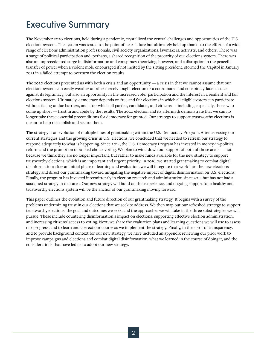### Executive Summary

The November 2020 elections, held during a pandemic, crystallized the central challenges and opportunities of the U.S. elections system. The system was tested to the point of near failure but ultimately held up thanks to the efforts of a wide range of elections administration professionals, civil society organizations, lawmakers, activists, and others. There was a surge of political participation and, perhaps, a shared recognition of the precarity of our elections system. There was also an unprecedented surge in disinformation and conspiracy theorizing, however, and a disruption in the peaceful transfer of power when a violent mob, encouraged if not incited by the sitting president, stormed the Capitol in January 2021 in a failed attempt to overturn the election results.

The 2020 elections presented us with both a crisis and an opportunity — a crisis in that we cannot assume that our elections system can easily weather another fiercely fought election or a coordinated and conspiracy-laden attack against its legitimacy, but also an opportunity in the increased voter participation and the interest in a resilient and fair elections system. Ultimately, democracy depends on free and fair elections in which all eligible voters can participate without facing undue barriers, and after which all parties, candidates, and citizens — including, especially, those who come up short — trust in and abide by the results. The 2020 election and its aftermath demonstrate that we can no longer take these essential preconditions for democracy for granted. Our strategy to support trustworthy elections is meant to help reestablish and secure them.

The strategy is an evolution of multiple lines of grantmaking within the U.S. Democracy Program. After assessing our current strategies and the growing crisis in U.S. elections, we concluded that we needed to refresh our strategy to respond adequately to what is happening. Since 2014, the U.S. Democracy Program has invested in money-in-politics reform and the promotion of ranked choice voting. We plan to wind down our support of both of those areas — not because we think they are no longer important, but rather to make funds available for the new strategy to support trustworthy elections, which is an important and urgent priority. In 2016, we started grantmaking to combat digital disinformation; after an initial phase of learning and evaluation, we will integrate that work into the new elections strategy and direct our grantmaking toward mitigating the negative impact of digital disinformation on U.S. elections. Finally, the program has invested intermittently in election research and administration since 2014 but has not had a sustained strategy in that area. Our new strategy will build on this experience, and ongoing support for a healthy and trustworthy elections system will be the anchor of our grantmaking moving forward.

This paper outlines the evolution and future direction of our grantmaking strategy. It begins with a survey of the problems undermining trust in our elections that we seek to address. We then map out our refreshed strategy to support trustworthy elections, the goal and outcomes we seek, and the approaches we will take in the three substrategies we will pursue. These include countering disinformation's impact on elections, supporting effective election administration, and increasing citizens' access to voting. Next, we share the evaluation plans and learning questions we will use to assess our progress, and to learn and correct our course as we implement the strategy. Finally, in the spirit of transparency, and to provide background context for our new strategy, we have included an appendix reviewing our prior work to improve campaigns and elections and combat digital disinformation, what we learned in the course of doing it, and the considerations that have led us to adopt our new strategy.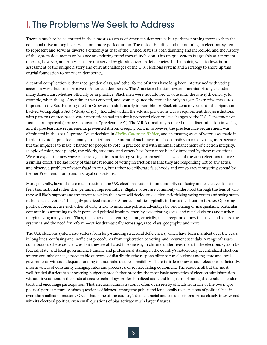# I. The Problems We Seek to Address

There is much to be celebrated in the almost 250 years of American democracy, but perhaps nothing more so than the continual drive among its citizens for a more perfect union. The task of building and maintaining an elections system to represent and serve as diverse a citizenry as that of the United States is both daunting and incredible, and the history of the system documents on balance an enduring trend toward inclusion. This unique system is arguably at a moment of crisis, however, and Americans are not served by glossing over its deficiencies. In that spirit, what follows is an assessment of the unique history and current challenges of the U.S. elections system and a strategy to shore up this crucial foundation to American democracy.

A central complication is that race, gender, class, and other forms of status have long been intertwined with voting access in ways that are corrosive to American democracy. The American elections system has historically excluded many Americans, whether officially or in practice. Black men were not allowed to vote until the late 19th century, for example, when the 15<sup>th</sup> Amendment was enacted, and women gained the franchise only in 1920. Restrictive measures imposed in the South during the Jim Crow era made it nearly impossible for Black citizens to vote until the bipartisanbacked Voting Rights Act (V.R.A) of 1965. Included within the V.R.A's provisions was a requirement that jurisdictions with patterns of race-based voter restrictions had to submit proposed election law changes to the U.S. Department of Justice for approval (a process known as "preclearance"). The V.R.A drastically reduced racial discrimination in voting, and its preclearance requirements prevented it from creeping back in. However, the preclearance requirement was eliminated in the 2013 Supreme Court decision in *[Shelby County v. Holder](https://www.brennancenter.org/our-work/court-cases/shelby-county-v-holder)*, and an ensuing wave of voter laws made it harder to vote in practice in many jurisdictions. The intent of such measures is ostensibly to make voting more secure, but the impact is to make it harder for people to vote in practice and with minimal enhancement of election integrity. People of color, poor people, the elderly, students, and others have been most heavily impacted by these restrictions. We can expect the new wave of state legislation restricting voting proposed in the wake of the 2020 elections to have a similar effect. The sad irony of this latest round of voting restrictions is that they are responding not to any actual and observed problem of voter fraud in 2020, but rather to deliberate falsehoods and conspiracy mongering spread by former President Trump and his loyal copartisans.

More generally, beyond these malign actions, the U.S. elections system is unnecessarily confusing and exclusive. It often feels transactional rather than genuinely representative. Eligible voters are commonly understood through the lens of who they will likely support and the extent to which their vote will decide an election, prioritizing swing voters and swing states rather than all voters. The highly polarized nature of American politics typically inflames the situation further. Opposing political forces accuse each other of dirty tricks to maximize political advantage by prioritizing or marginalizing particular communities according to their perceived political loyalties, thereby exacerbating social and racial divisions and further marginalizing many voters. Thus, the experience of voting — and, crucially, the perception of how inclusive and secure the system is and the need for reform — varies dramatically across age, race, class, geography, and more.

The U.S. elections system also suffers from long-standing structural deficiencies, which have been manifest over the years in long lines, confusing and inefficient procedures from registration to voting, and recurrent scandals. A range of issues contributes to these deficiencies, but they are all based in some way in chronic underinvestment in the elections system by federal, state, and local government. Funding and professional staffing in the country's notoriously decentralized elections system are imbalanced, a predictable outcome of distributing the responsibility to run elections among state and local governments without adequate funding to undertake that responsibility. There is little money to staff elections sufficiently, inform voters of constantly changing rules and processes, or replace failing equipment. The result in all but the most well-funded districts is a shoestring-budget approach that provides the most basic necessities of election administration without investment in the kinds of secure technology, professionalized staff, and long-term planning that could engender trust and encourage participation. That election administration is often overseen by officials from one of the two major political parties naturally raises questions of fairness among the public and lends easily to suspicions of political bias in even the smallest of matters. Given that some of the country's deepest racial and social divisions are so closely intertwined with its electoral politics, even small questions of bias activate much larger fissures.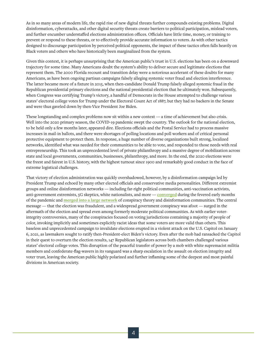As in so many areas of modern life, the rapid rise of new digital threats further compounds existing problems. Digital disinformation, cyberattacks, and other digital security threats create barriers to political participation, mislead voters, and further encumber understaffed elections administration offices. Officials have little time, money, or training to prevent or respond to these threats, or to effectively provide accurate information to voters. As with other tactics designed to discourage participation by perceived political opponents, the impact of these tactics often falls heavily on Black voters and others who have historically been marginalized from the system.

Given this context, it is perhaps unsurprising that the American public's trust in U.S. elections has been on a downward trajectory for some time. Many Americans doubt the system's ability to deliver secure and legitimate elections that represent them. The 2000 Florida recount and transition delay were a notorious accelerant of these doubts for many Americans, as have been ongoing partisan campaigns falsely alleging systemic voter fraud and election interference. The latter became more of a fixture in 2015, when then-candidate Donald Trump falsely alleged systemic fraud in the Republican presidential primary elections and the national presidential election that he ultimately won. Subsequently, when Congress was certifying Trump's victory, a handful of Democrats in the House attempted to challenge various states' electoral college votes for Trump under the Electoral Count Act of 1887, but they had no backers in the Senate and were thus gaveled down by then-Vice President Joe Biden.

These longstanding and complex problems now sit within a new context — a time of achievement but also crisis. Well into the 2020 primary season, the COVID-19 pandemic swept the country. The outlook for the national election, to be held only a few months later, appeared dire. Elections officials and the Postal Service had to process massive increases in mail-in ballots, and there were shortages of polling locations and poll workers and of critical personal protective equipment to protect them. In response, a huge number of diverse organizations built strong, localized networks, identified what was needed for their communities to be able to vote, and responded to those needs with real entrepreneurship. This took an unprecedented level of private philanthropy and a massive degree of mobilization across state and local governments, communities, businesses, philanthropy, and more. In the end, the 2020 elections were the freest and fairest in U.S. history, with the highest turnout since 1900 and remarkably good conduct in the face of extreme logistical challenges.

That victory of election administration was quickly overshadowed, however, by a disinformation campaign led by President Trump and echoed by many other elected officials and conservative media personalities. Different extremist groups and online disinformation networks — including far-right political communities, anti-vaccination activists, anti-government extremists, 5G skeptics, white nationalists, and more — **[converged](https://www.seattletimes.com/seattle-news/health/covid-19-meets-election-2020-the-perfect-storm-for-misinformation/)** during the fevered early months of the pandemic and **[merged into a large network](https://www.politico.com/news/magazine/2021/01/14/us-capitol-disinformation-online-qanon-trump-insurrection-459505)** of conspiracy theory and disinformation communities. The central message — that the election was fraudulent, and a widespread government conspiracy was afoot — surged in the aftermath of the election and spread even among formerly moderate political communities. As with earlier voterintegrity controversies, many of the conspiracies focused on voting jurisdictions containing a majority of people of color, invoking implicitly and sometimes explicitly racist ideas that some voters are more valid than others. This baseless and unprecedented campaign to invalidate elections erupted in a violent attack on the U.S. Capitol on January 6, 2021, as lawmakers sought to ratify then-President-elect Biden's victory. Even after the mob had ransacked the Capitol in their quest to overturn the election results, 147 Republican legislators across both chambers challenged various states' electoral college votes. This disruption of the peaceful transfer of power by a mob with white supremacist militia members and confederate-flag-wavers in its vanguard was a sharp escalation in the assault on election integrity and voter trust, leaving the American public highly polarized and further inflaming some of the deepest and most painful divisions in American society.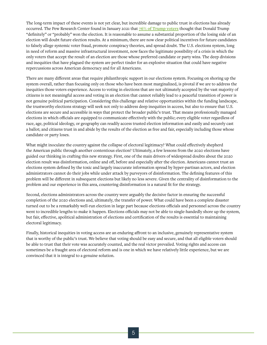The long-term impact of these events is not yet clear, but incredible damage to public trust in elections has already occurred. The Pew Research Center found in January 2021 that **[76% of Trump voters](https://www.pewresearch.org/politics/2021/01/15/voters-reflections-on-the-2020-election/)** thought that Donald Trump "definitely" or "probably" won the election. It is reasonable to assume a substantial proportion of the losing side of an election will doubt future election results. At a minimum, there are now clear political incentives for future candidates to falsely allege systemic voter fraud, promote conspiracy theories, and spread doubt. The U.S. elections system, long in need of reform and massive infrastructural investment, now faces the legitimate possibility of a crisis in which the only voters that accept the result of an election are those whose preferred candidate or party wins. The deep divisions and inequities that have plagued the system are perfect tinder for an explosive situation that could have negative repercussions across American democracy and for all Americans.

There are many different areas that require philanthropic support in our elections system. Focusing on shoring up the system overall, rather than focusing only on those who have been most marginalized, is pivotal if we are to address the inequities those voters experience. Access to voting in elections that are not ultimately accepted by the vast majority of citizens is not meaningful access and voting in an election that cannot reliably lead to a peaceful transition of power is not genuine political participation. Considering this challenge and relative opportunities within the funding landscape, the trustworthy elections strategy will seek not only to address deep inequities in access, but also to ensure that U.S. elections are secure and accessible in ways that protect the broader public's trust. That means professionally managed elections in which officials are equipped to communicate effectively with the public; every eligible voter regardless of race, age, political ideology, or geography can readily access trusted election information and easily and securely cast a ballot; and citizens trust in and abide by the results of the election as free and fair, especially including those whose candidate or party loses.

What might inoculate the country against the collapse of electoral legitimacy? What could effectively shepherd the American public through another contentious election? Ultimately, a few lessons from the 2020 elections have guided our thinking in crafting this new strategy. First, one of the main drivers of widespread doubts about the 2020 election result was disinformation, online and off, before and especially after the election. Americans cannot trust an elections system defined by the toxic and largely inaccurate information spread by hyper-partisan actors, and election administrators cannot do their jobs while under attack by purveyors of disinformation. The defining features of this problem will be different in subsequent elections but likely no less severe. Given the centrality of disinformation to the problem and our experience in this area, countering disinformation is a natural fit for the strategy.

Second, elections administrators across the country were arguably the decisive factor in ensuring the successful completion of the 2020 elections and, ultimately, the transfer of power. What could have been a complete disaster turned out to be a remarkably well-run election in large part because elections officials and personnel across the country went to incredible lengths to make it happen. Elections officials may not be able to single-handedly shore up the system, but fair, effective, apolitical administration of elections and certification of the results is essential to maintaining electoral legitimacy.

Finally, historical inequities in voting access are an enduring affront to an inclusive, genuinely representative system that is worthy of the public's trust. We believe that voting should be easy and secure, and that all eligible voters should be able to trust that their vote was accurately counted, and the real victor prevailed. Voting rights and access can sometimes be a fraught area of electoral reform and is one in which we have relatively little experience, but we are convinced that it is integral to a genuine solution.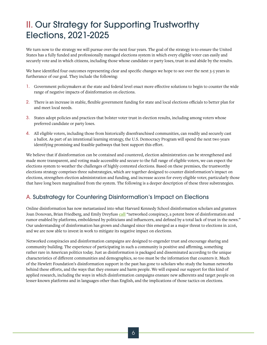# II. Our Strategy for Supporting Trustworthy Elections, 2021-2025

We turn now to the strategy we will pursue over the next four years. The goal of the strategy is to ensure the United States has a fully funded and professionally managed elections system in which every eligible voter can easily and securely vote and in which citizens, including those whose candidate or party loses, trust in and abide by the results.

We have identified four outcomes representing clear and specific changes we hope to see over the next 3-5 years in furtherance of our goal. They include the following:

- 1. Government policymakers at the state and federal level enact more effective solutions to begin to counter the wide range of negative impacts of disinformation on elections.
- 2. There is an increase in stable, flexible government funding for state and local elections officials to better plan for and meet local needs.
- 3. States adopt policies and practices that bolster voter trust in election results, including among voters whose preferred candidate or party loses.
- 4. All eligible voters, including those from historically disenfranchised communities, can readily and securely cast a ballot. As part of an intentional learning strategy, the U.S. Democracy Program will spend the next two years identifying promising and feasible pathways that best support this effort.

We believe that if disinformation can be contained and countered, election administration can be strengthened and made more transparent, and voting made accessible and secure to the full range of eligible voters, we can expect the elections system to weather the challenges of highly contested elections. Based on these premises, the trustworthy elections strategy comprises three substrategies, which are together designed to counter disinformation's impact on elections, strengthen election administration and funding, and increase access for every eligible voter, particularly those that have long been marginalized from the system. The following is a deeper description of these three substrategies.

#### A. Substrategy for Countering Disinformation's Impact on Elections

Online disinformation has now metastasized into what Harvard Kennedy School disinformation scholars and grantees Joan Donovan, Brian Friedberg, and Emily Dreyfuss **[call](https://www.theguardian.com/commentisfree/2021/jan/11/the-capitol-siege-was-the-biggest-media-spectacle-of-the-trump-era)** "networked conspiracy, a potent brew of disinformation and rumor enabled by platforms, emboldened by politicians and influencers, and defined by a total lack of trust in the news." Our understanding of disinformation has grown and changed since this emerged as a major threat to elections in 2016, and we are now able to invest in work to mitigate its negative impact on elections.

Networked conspiracies and disinformation campaigns are designed to engender trust and encourage sharing and community building. The experience of participating in such a community is positive and affirming, something rather rare in American politics today. Just as disinformation is packaged and disseminated according to the unique characteristics of different communities and demographics, so too must be the information that counters it. Much of the Hewlett Foundation's disinformation support in the past has gone to scholars who study the human networks behind these efforts, and the ways that they ensnare and harm people. We will expand our support for this kind of applied research, including the ways in which disinformation campaigns ensnare new adherents and target people on lesser-known platforms and in languages other than English, and the implications of those tactics on elections.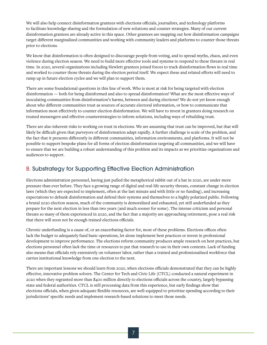We will also help connect disinformation grantees with elections officials, journalists, and technology platforms to facilitate knowledge sharing and the formulation of new solutions and counter strategies. Many of our current disinformation grantees are already active in this space. Other grantees are mapping out how disinformation campaigns target different marginalized communities and working with community leaders and platforms to counter those threats prior to elections.

We know that disinformation is often designed to discourage people from voting, and to spread myths, chaos, and even violence during election season. We need to build more effective tools and systems to respond to these threats in real time. In 2020, several organizations including Hewlett grantees joined forces to track disinformation flows in real time and worked to counter those threats during the election period itself. We expect these and related efforts will need to ramp up in future election cycles and we will plan to support them.

There are some foundational questions in this line of work. Who is most at risk for being targeted with election disinformation — both for being disinformed and also to spread disinformation? What are the most effective ways of inoculating communities from disinformation's harms, between and during elections? We do not yet know enough about who different communities trust as sources of accurate electoral information, or how to communicate that information most effectively to counter election disinformation. We will have to invest in grantees doing research on trusted messengers and effective counterstrategies to inform solutions, including ways of rebuilding trust.

There are also inherent risks to working on trust in elections. We are assuming that trust can be improved, but that will likely be difficult given that purveyors of disinformation adapt rapidly. A further challenge is scale of the problem, and the fact that it presents differently in different communities, information environments, and platforms. It will not be possible to support bespoke plans for all forms of election disinformation targeting all communities, and we will have to ensure that we are building a robust understanding of this problem and its impacts as we prioritize organizations and audiences to support.

#### B. Substrategy for Supporting Effective Election Administration

Elections administration personnel, having just pulled the metaphorical rabbit out of a hat in 2020, are under more pressure than ever before. They face a growing range of digital and real-life security threats, constant change in election laws (which they are expected to implement, often at the last minute and with little or no funding), and increasing expectations to debunk disinformation and defend their systems and themselves to a highly polarized public. Following a brutal 2020 election season, much of the community is demoralized and exhausted, yet still underfunded as they prepare for the next election in less than two years (and much sooner for some). The intense criticism and personal threats so many of them experienced in 2020, and the fact that a majority are approaching retirement, pose a real risk that there will soon not be enough trained elections officials.

Chronic underfunding is a cause of, or an exacerbating factor for, most of these problems. Elections offices often lack the budget to adequately fund basic operations, let alone implement best practices or invest in professional development to improve performance. The elections reform community produces ample research on best practices, but elections personnel often lack the time or resources to put that research to use in their own contexts. Lack of funding also means that officials rely extensively on volunteer labor, rather than a trained and professionalized workforce that carries institutional knowledge from one election to the next.

There are important lessons we should learn from 2020, when elections officials demonstrated that they can be highly effective, innovative problem solvers. The Center for Tech and Civic Life (CTCL) conducted a natural experiment in 2020 when they regranted more than \$400 million directly to elections officials across the country, largely bypassing state and federal authorities. CTCL is still processing data from this experience, but early findings show that elections officials, when given adequate flexible resources, are well-equipped to prioritize spending according to their jurisdictions' specific needs and implement research-based solutions to meet those needs.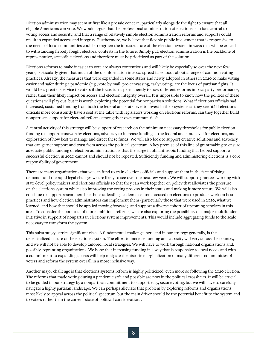Election administration may seem at first like a prosaic concern, particularly alongside the fight to ensure that all eligible Americans can vote. We would argue that the professional administration of elections is in fact central to voting access and security, and that a range of relatively simple election administration reforms and supports could result in expanded access and integrity. Furthermore, we believe that flexible public investment that is responsive to the needs of local communities could strengthen the infrastructure of the elections system in ways that will be crucial to withstanding fiercely fought electoral contests in the future. Simply put, election administration is the backbone of representative, accessible elections and therefore must be prioritized as part of the solution.

Elections reforms to make it easier to vote are always contentious and will likely be especially so over the next few years, particularly given that much of the disinformation in 2020 spread falsehoods about a range of common voting practices. Already, the measures that were expanded in some states and newly adopted in others in 2020 to make voting easier and safer during a pandemic (e.g., vote by mail, pre-canvassing, early voting) are the locus of partisan fights. It would be a great disservice to voters if the focus turns permanently to how different reforms impact party performance, rather than their likely impact on access and election integrity overall. It is impossible to know how the politics of these questions will play out, but it is worth exploring the potential for nonpartisan solutions. What if elections officials had increased, sustained funding from both the federal and state level to invest in their systems as they see fit? If elections officials more consistently have a seat at the table with legislators working on elections reforms, can they together build nonpartisan support for electoral reforms among their own communities?

A central activity of this strategy will be support of research on the minimum necessary thresholds for public election funding to support trustworthy elections, advocacy to increase funding at the federal and state level for elections, and exploration of how best to manage and direct these funds. We will also look to support creative solutions and advocacy that can garner support and trust from across the political spectrum. A key premise of this line of grantmaking to ensure adequate public funding of election administration is that the surge in philanthropic funding that helped support a successful election in 2020 cannot and should not be repeated. Sufficiently funding and administering elections is a core responsibility of government.

There are many organizations that we can fund to train elections officials and support them in the face of rising demands and the rapid legal changes we are likely to see over the next few years. We will support grantees working with state-level policy makers and elections officials so that they can work together on policy that alleviates the pressure on the elections system while also improving the voting process in their states and making it more secure. We will also continue to support researchers like those at leading academic centers focused on elections to produce work on best practices and how election administrators can implement them (particularly those that were used in 2020, what we learned, and how that should be applied moving forward), and support a diverse cohort of upcoming scholars in this area. To consider the potential of more ambitious reforms, we are also exploring the possibility of a major multifunder initiative in support of nonpartisan elections system improvements. This would include aggregating funds to the scale necessary to transform the system.

This substrategy carries significant risks. A fundamental challenge, here and in our strategy generally, is the decentralized nature of the elections system. The effort to increase funding and capacity will vary across the country, and we will not be able to develop tailored, local strategies. We will have to work through national organizations and, possibly, regranting organizations. We hope that increasing funding in a way that is responsive to local needs and with a commitment to expanding access will help mitigate the historic marginalization of many different communities of voters and reform the system overall in a more inclusive way.

Another major challenge is that elections systems reform is highly politicized, even more so following the 2020 election. The reforms that made voting during a pandemic safe and possible are now in the political crosshairs. It will be crucial to be guided in our strategy by a nonpartisan commitment to support easy, secure voting, but we will have to carefully navigate a highly partisan landscape. We can perhaps alleviate that problem by exploring reforms and organizations most likely to appeal across the political spectrum, but the main driver should be the potential benefit to the system and to voters rather than the current state of political considerations.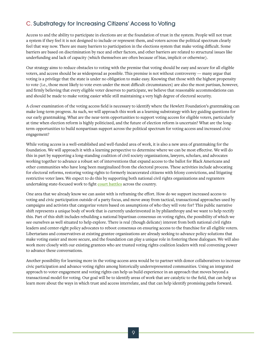### C. Substrategy for Increasing Citizens' Access to Voting

Access to and the ability to participate in elections are at the foundation of trust in the system. People will not trust a system if they feel it is not designed to include or represent them, and voters across the political spectrum clearly feel that way now. There are many barriers to participation in the elections system that make voting difficult. Some barriers are based on discrimination by race and other factors, and other barriers are related to structural issues like underfunding and lack of capacity (which themselves are often because of bias, implicit or otherwise).

Our strategy aims to reduce obstacles to voting with the premise that voting should be easy and secure for all eligible voters, and access should be as widespread as possible. This premise is not without controversy — many argue that voting is a privilege that the state is under no obligation to make easy. Knowing that those with the highest propensity to vote (i.e., those most likely to vote even under the most difficult circumstances) are also the most partisan, however, and firmly believing that every eligible voter deserves to participate, we believe that reasonable accommodations can and should be made to make voting easier while still maintaining a very high degree of electoral security.

A closer examination of the voting access field is necessary to identify where the Hewlett Foundation's grantmaking can make long-term progress. As such, we will approach this work as a learning substrategy with key guiding questions for our early grantmaking. What are the near-term opportunities to support voting access for eligible voters, particularly at time when election reform is highly politicized, and the future of election reform is uncertain? What are the longterm opportunities to build nonpartisan support across the political spectrum for voting access and increased civic engagement?

While voting access is a well-established and well-funded area of work, it is also a new area of grantmaking for the foundation. We will approach it with a learning perspective to determine where we can be most effective. We will do this in part by supporting a long-standing coalition of civil society organizations, lawyers, scholars, and advocates working together to advance a robust set of interventions that expand access to the ballot for Black Americans and other communities who have long been marginalized from the electoral process. These activities include advocating for electoral reforms, restoring voting rights to formerly incarcerated citizens with felony convictions, and litigating restrictive voter laws. We expect to do this by supporting both national civil rights organizations and regranters undertaking state-focused work to fight **[court battles](https://www.brennancenter.org/our-work/court-cases/voting-rights-litigation-2020)** across the country.

One area that we already know we can assist with is reframing the effort. How do we support increased access to voting and civic participation outside of a party focus, and move away from tactical, transactional approaches used by campaigns and activists that categorize voters based on assumptions of who they will vote for? This public narrative shift represents a unique body of work that is currently underinvested in by philanthropy and we want to help rectify this. Part of this shift includes rebuilding a national bipartisan consensus on voting rights, the possibility of which we see ourselves as well situated to help explore. There is real (though delicate) interest from both national civil rights leaders and center-right policy advocates to reboot consensus on ensuring access to the franchise for all eligible voters. Libertarians and conservatives at existing grantee organizations are already seeking to advance policy solutions that make voting easier and more secure, and the foundation can play a unique role in fostering these dialogues. We will also work more closely with our existing grantees who are trusted voting rights coalition leaders with real convening power to advance these conversations.

Another possibility for learning more in the voting-access area would be to partner with donor collaboratives to increase civic participation and advance voting rights among historically underrepresented communities. Using an integrated approach to voter engagement and voting rights can help us build experience in an approach that moves beyond a transactional model for voting. Our goal will be to identify areas of work that are catalytic to the field, that can help us learn more about the ways in which trust and access interrelate, and that can help identify promising paths forward.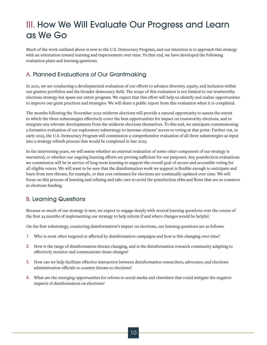### III. How We Will Evaluate Our Progress and Learn as We Go

Much of the work outlined above is new to the U.S. Democracy Program, and our intention is to approach this strategy with an orientation toward learning and improvement over time. To that end, we have developed the following evaluation plans and learning questions.

### A. Planned Evaluations of Our Grantmaking

In 2021, we are conducting a developmental evaluation of our efforts to advance diversity, equity, and inclusion within our grantee portfolios and the broader democracy field. The scope of this evaluation is not limited to our trustworthy elections strategy but spans our entire program. We expect that this effort will help us identify and realize opportunities to improve our grant practices and strategies. We will share a public report from this evaluation when it is completed.

The months following the November 2022 midterm elections will provide a natural opportunity to assess the extent to which the three substrategies effectively cover the best opportunities for impact on trustworthy elections, and to integrate any relevant developments from the midterm elections themselves. To this end, we anticipate commissioning a formative evaluation of our exploratory substrategy to increase citizens' access to voting at that point. Further out, in early 2025, the U.S. Democracy Program will commission a comprehensive evaluation of all three substrategies as input into a strategy refresh process that would be completed in late 2025.

In the intervening years, we will assess whether an external evaluation of some other component of our strategy is warranted, or whether our ongoing learning efforts are proving sufficient for our purposes. Any postelection evaluations we commission will be in service of long-term learning to support the overall goal of secure and accessible voting for all eligible voters. We will want to be sure that the disinformation work we support is flexible enough to anticipate and learn from new threats, for example, or that cost estimates for elections are continually updated over time. We will focus on this process of learning and refining and take care to avoid the postelection ebbs and flows that are so common in elections funding.

#### B. Learning Questions

Because so much of our strategy is new, we expect to engage deeply with several learning questions over the course of the first 24 months of implementing our strategy to help inform if and where changes would be helpful.

On the first substrategy, countering disinformation's impact on elections, our learning questions are as follows:

- 1. Who is most often targeted or affected by disinformation campaigns and how is this changing over time?
- 2. How is the range of disinformation threats changing, and is the disinformation research community adapting to effectively monitor and communicate those changes?
- 3. How can we help facilitate effective interaction between disinformation researchers, advocates, and elections administration officials to counter threats to elections?
- 4. What are the emerging opportunities for reform to social media and elsewhere that could mitigate the negative impacts of disinformation on elections?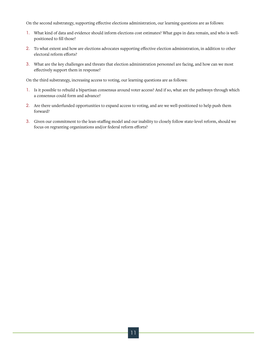On the second substrategy, supporting effective elections administration, our learning questions are as follows:

- 1. What kind of data and evidence should inform elections cost estimates? What gaps in data remain, and who is wellpositioned to fill those?
- 2. To what extent and how are elections advocates supporting effective election administration, in addition to other electoral reform efforts?
- 3. What are the key challenges and threats that election administration personnel are facing, and how can we most effectively support them in response?

On the third substrategy, increasing access to voting, our learning questions are as follows:

- 1. Is it possible to rebuild a bipartisan consensus around voter access? And if so, what are the pathways through which a consensus could form and advance?
- 2. Are there underfunded opportunities to expand access to voting, and are we well-positioned to help push them forward?
- 3. Given our commitment to the lean-staffing model and our inability to closely follow state-level reform, should we focus on regranting organizations and/or federal reform efforts?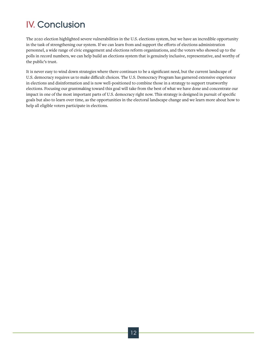# IV. Conclusion

The 2020 election highlighted severe vulnerabilities in the U.S. elections system, but we have an incredible opportunity in the task of strengthening our system. If we can learn from and support the efforts of elections administration personnel, a wide range of civic engagement and elections reform organizations, and the voters who showed up to the polls in record numbers, we can help build an elections system that is genuinely inclusive, representative, and worthy of the public's trust.

It is never easy to wind down strategies where there continues to be a significant need, but the current landscape of U.S. democracy requires us to make difficult choices. The U.S. Democracy Program has garnered extensive experience in elections and disinformation and is now well-positioned to combine those in a strategy to support trustworthy elections. Focusing our grantmaking toward this goal will take from the best of what we have done and concentrate our impact in one of the most important parts of U.S. democracy right now. This strategy is designed in pursuit of specific goals but also to learn over time, as the opportunities in the electoral landscape change and we learn more about how to help all eligible voters participate in elections.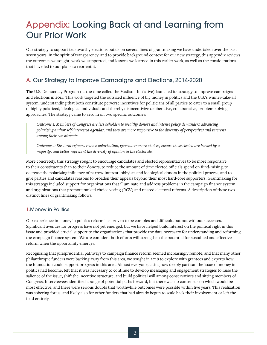### Appendix: Looking Back at and Learning from Our Prior Work

Our strategy to support trustworthy elections builds on several lines of grantmaking we have undertaken over the past seven years. In the spirit of transparency, and to provide background context for our new strategy, this appendix reviews the outcomes we sought, work we supported, and lessons we learned in this earlier work, as well as the considerations that have led to our plans to reorient it.

### A. Our Strategy to Improve Campaigns and Elections, 2014-2020

The U.S. Democracy Program (at the time called the Madison Initiative) launched its strategy to improve campaigns and elections in 2014. This work targeted the outsized influence of big money in politics and the U.S.'s winner-take-all system, understanding that both constitute perverse incentives for politicians of all parties to cater to a small group of highly polarized, ideological individuals and thereby disincentivize deliberative, collaborative, problem-solving approaches. The strategy came to zero in on two specific outcomes:

*Outcome 1: Members of Congress are less beholden to wealthy donors and intense policy demanders advancing polarizing and/or self-interested agendas, and they are more responsive to the diversity of perspectives and interests among their constituents.* 

*Outcome 2: Electoral reforms reduce polarization, give voters more choices, ensure those elected are backed by a majority, and better represent the diversity of opinion in the electorate.* 

More concretely, this strategy sought to encourage candidates and elected representatives to be more responsive to their constituents than to their donors, to reduce the amount of time elected officials spend on fund-raising, to decrease the polarizing influence of narrow-interest lobbyists and ideological donors in the political process, and to give parties and candidates reasons to broaden their appeals beyond their most hard-core supporters. Grantmaking for this strategy included support for organizations that illuminate and address problems in the campaign finance system, and organizations that promote ranked choice voting (RCV) and related electoral reforms. A description of these two distinct lines of grantmaking follows.

#### 1.Money in Politics

Our experience in money in politics reform has proven to be complex and difficult, but not without successes. Significant avenues for progress have not yet emerged, but we have helped build interest on the political right in this issue and provided crucial support to the organizations that provide the data necessary for understanding and reforming the campaign finance system. We are confident both efforts will strengthen the potential for sustained and effective reform when the opportunity emerges.

Recognizing that jurisprudential pathways to campaign finance reform seemed increasingly remote, and that many other philanthropic funders were backing away from this area, we sought in 2018 to explore with grantees and experts how the foundation could support progress in this area. Almost everyone, citing how deeply partisan the issue of money in politics had become, felt that it was necessary to continue to develop messaging and engagement strategies to raise the salience of the issue, shift the incentive structure, and build political will among conservatives and sitting members of Congress. Interviewees identified a range of potential paths forward, but there was no consensus on which would be most effective, and there were serious doubts that worthwhile outcomes were possible within five years. This realization was sobering for us, and likely also for other funders that had already begun to scale back their involvement or left the field entirely.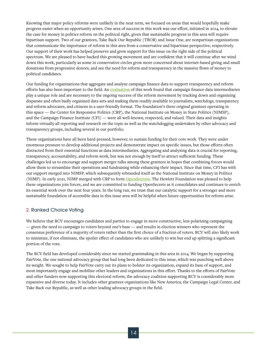Knowing that major policy reforms were unlikely in the near term, we focused on areas that would hopefully make progress easier when an opportunity arises. One area of success in this work was our effort, initiated in 2014, to elevate the case for money in politics reform on the political right, given that sustainable progress in this area will require bipartisan support. Two of our grantees, Take Back Our Republic (TBOR) and Issue One, are nonpartisan organizations that communicate the importance of reform in this area from a conservative and bipartisan perspective, respectively. Our support of their work has helped preserve and grow support for this issue on the right side of the political spectrum. We are pleased to have backed this growing movement and are confident that it will continue after we wind down this work, particularly as some in conservative circles grow more concerned about internet-based giving and small donations from progressive donors, and see the need for reform and transparency in the massive flows of money to political candidates.

Our funding for organizations that aggregate and analyze campaign finance data to support transparency and reform efforts has also been important to the field. An **[evaluation](https://hewlett.org/wp-content/uploads/2019/01/CFD-cluster-assessment-memo-2016-03.pdf)** of this work found that campaign finance data intermediaries play a unique role and are necessary to the ongoing success of the reform movement by tracking down and organizing disparate and often badly organized data sets and making them readily available to journalists, watchdogs, transparency and reform advocates, and citizens in a user-friendly format. The foundation's three original grantees operating in this space — the Center for Responsive Politics (CRP), the National Institute on Money in State Politics (NIMSP), and the Campaign Finance Institute (CFI) — were all well-known, respected, and valued. Their data and insights inform virtually all reporting and research on the topic as well as the watchdogging undertaken by other advocacy and transparency groups, including several in our portfolio.

These organizations have all been hard-pressed, however, to sustain funding for their core work. They were under enormous pressure to develop additional projects and demonstrate impact on specific issues, but those efforts often distracted from their essential functions as data intermediaries. Aggregating and analyzing data is crucial for reporting, transparency, accountability, and reform work, but was not enough by itself to attract sufficient funding. These challenges led us to encourage and support merger talks among these grantees in hopes that combining forces would allow them to streamline their operations and fundraising while enhancing their impact. Since that time, CFI has with our support merged into NIMSP, which subsequently rebranded itself as the National Institute on Money in Politics (NIMP). In early 2021, NIMP merged with CRP to form **[OpenSecrets](https://www.opensecrets.org/)**. The Hewlett Foundation was pleased to help these organizations join forces, and we are committed to funding OpenSecrets as it consolidates and continues to enrich its essential work over the next four years. In the long run, we trust that our catalytic support for a stronger and more sustainable foundation of accessible data in this issue area will be helpful when future opportunities for reform arise.

#### 2. Ranked Choice Voting

We believe that RCV encourages candidates and parties to engage in more constructive, less polarizing campaigning — given the need to campaign to voters beyond one's base — and results in election winners who represent the consensus preference of a majority of voters rather than the first choice of a fraction of voters. RCV will also likely work to minimize, if not eliminate, the spoiler effect of candidates who are unlikely to win but end up splitting a significant portion of the vote.

The RCV field has developed considerably since we started grantmaking in this area in 2014. We began by supporting FairVote, the one national advocacy group that had long been dedicated to this issue, which was punching well above its weight. We sought to help FairVote carry out its plans to bolster its organization, expand its base of support, and most importantly engage and mobilize other leaders and organizations in this effort. Thanks to the efforts of FairVote and other funders now supporting this electoral reform, the advocacy coalition supporting RCV is considerably more expansive and diverse today. It includes other grantees organizations like New America, the Campaign Legal Center, and Take Back our Republic, as well as other leading advocacy groups in the field.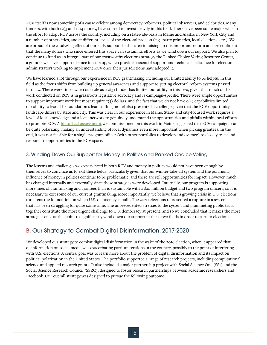RCV itself is now something of a cause célèbre among democracy reformers, political observers, and celebrities. Many funders, with both (c)3 and (c)4 money, have started to invest heavily in this field. There have been some major wins in the effort to adopt RCV across the country, including on a statewide-basis in Maine and Alaska, in New York City and a number of other cities, and at different levels of the electoral process (e.g., party primaries, local elections, etc.). We are proud of the catalyzing effect of our early support in this area in raising up this important reform and are confident that the many donors who since entered this space can sustain its efforts as we wind down our support. We also plan to continue to fund as an integral part of our trustworthy elections strategy the Ranked Choice Voting Resource Center, a grantee we have supported since its startup, which provides essential support and technical assistance for election administrators working to implement RCV once their jurisdictions have adopted it.

We have learned a lot through our experience in RCV grantmaking, including our limited ability to be helpful in this field as the focus shifts from building up general awareness and support to getting electoral reform systems passed into law. There were times when our role as a  $c(3)$  funder has limited our utility in this area, given that much of the work conducted on RCV is in grassroots legislative advocacy and is campaign-specific. There were ample opportunities to support important work but most require  $c(4)$  dollars, and the fact that we do not have  $c(4)$  capabilities limited our ability to lead. The foundation's lean staffing model also presented a challenge given that the RCV opportunity landscape differs by state and city. This was clear in our experience in Maine. State- and city-focused work requires a level of local knowledge and a local network to genuinely understand the opportunities and pitfalls within local efforts to promote RCV. A **[historical assessment](https://hewlett.org/historical-assessment-of-the-first-state-wide-passage-of-ranked-choice-voting-in-maine/)** we commissioned on this work in Maine suggested that RCV campaigns can be quite polarizing, making an understanding of local dynamics even more important when picking grantees. In the end, it was not feasible for a single program officer (with other portfolios to develop and oversee) to closely track and respond to opportunities in the RCV space.

#### 3. Winding Down Our Support for Money in Politics and Ranked Choice Voting

The lessons and challenges we experienced in both RCV and money in politics would not have been enough by themselves to convince us to exit these fields, particularly given that our winner-take-all system and the polarizing influence of money in politics continue to be problematic, and there are still opportunities for impact. However, much has changed internally and externally since these strategies were developed. Internally, our program is supporting more lines of grantmaking and grantees than is sustainable with a \$20 million budget and two program officers, so it is necessary to exit some of our current grantmaking. More importantly, we believe that a growing crisis in U.S. elections threatens the foundation on which U.S. democracy is built. The 2020 elections represented a rupture in a system that has been struggling for quite some time. The unprecedented stresses to the system and plummeting public trust together constitute the most urgent challenge to U.S. democracy at present, and so we concluded that it makes the most strategic sense at this point to significantly wind down our support in these two fields in order to turn to elections.

#### B. Our Strategy to Combat Digital Disinformation, 2017-2020

We developed our strategy to combat digital disinformation in the wake of the 2016 election, when it appeared that disinformation on social media was exacerbating partisan tensions in the country, possibly to the point of interfering with U.S. elections. A central goal was to learn more about the problem of digital disinformation and its impact on political polarization in the United States. The portfolio supported a range of research projects, including computational science and applied research grants. It also included a major partnership project with Social Science One (SS1) and the Social Science Research Council (SSRC), designed to foster research partnerships between academic researchers and Facebook. Our overall strategy was designed to pursue the following outcome: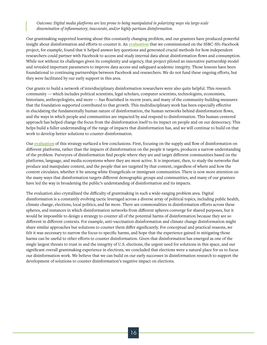#### *Outcome: Digital media platforms are less prone to being manipulated in polarizing ways via large-scale dissemination of inflammatory, inaccurate, and/or highly partisan disinformation.*

Our grantmaking supported learning about this constantly changing problem, and our grantees have produced powerful insight about disinformation and efforts to counter it. An **[evaluation](https://hewlett.org/taking-stock-of-an-initial-project-to-understand-social-medias-impact-on-democracy/)** that we commissioned on the SSRC-SS1-Facebook project, for example, found that it helped answer key questions and generated crucial methods for how independent researchers could partner with Facebook to access and study internal data about disinformation flows and consumption. While not without its challenges given its complexity and urgency, that project piloted an innovative partnership model and revealed important parameters to improve data access and safeguard academic integrity. Those lessons have been foundational to continuing partnerships between Facebook and researchers. We do not fund these ongoing efforts, but they were facilitated by our early support in this area.

Our grants to build a network of interdisciplinary disinformation researchers were also quite helpful. This research community — which includes political scientists, legal scholars, computer scientists, technologists, economists, historians, anthropologists, and more — has flourished in recent years, and many of the community-building measures that the foundation supported contributed to that growth. This multidisciplinary work has been especially effective in elucidating the fundamentally human nature of disinformation, the human networks behind disinformation flows, and the ways in which people and communities are impacted by and respond to disinformation. This human-centered approach has helped change the focus from the disinformation itself to its impact on people and on our democracy. This helps build a fuller understanding of the range of impacts that disinformation has, and we will continue to build on that work to develop better solutions to counter disinformation.

Our **[evaluation](https://hewlett.org/refreshing-our-strategy-to-combat-digital-disinformation/)** of this strategy surfaced a few conclusions. First, focusing on the supply and flow of disinformation on different platforms, rather than the impacts of disinformation on the people it targets, produces a narrow understanding of the problem. Purveyors of disinformation find people where they are and target different communities based on the platforms, language, and media ecosystems where they are most active. It is important, then, to study the networks that produce and manipulate content, and the people that are targeted by that content, regardless of where and how the content circulates, whether it be among white Evangelicals or immigrant communities. There is now more attention on the many ways that disinformation targets different demographic groups and communities, and many of our grantees have led the way in broadening the public's understanding of disinformation and its impacts.

The evaluation also crystallized the difficulty of grantmaking in such a wide-ranging problem area. Digital disinformation is a constantly evolving tactic leveraged across a diverse array of political topics, including public health, climate change, elections, local politics, and far more. There are commonalities in disinformation efforts across these spheres, and instances in which disinformation networks from different spheres converge for shared purposes, but it would be impossible to design a strategy to counter all of the potential harms of disinformation because they are so different in different contexts. For example, anti-vaccination disinformation and climate change disinformation might share similar approaches but solutions to counter them differ significantly. For conceptual and practical reasons, we felt it was necessary to narrow the focus to specific harms, and hope that the experience gained in mitigating those harms can be useful to other efforts to counter disinformation. Given that disinformation has emerged as one of the single largest threats to trust in and the integrity of U.S. elections, the urgent need for solutions in this space, and our significant overall grantmaking experience in elections, we concluded that elections were a natural place for us to focus our disinformation work. We believe that we can build on our early successes in disinformation research to support the development of solutions to counter disinformation's negative impact on elections.